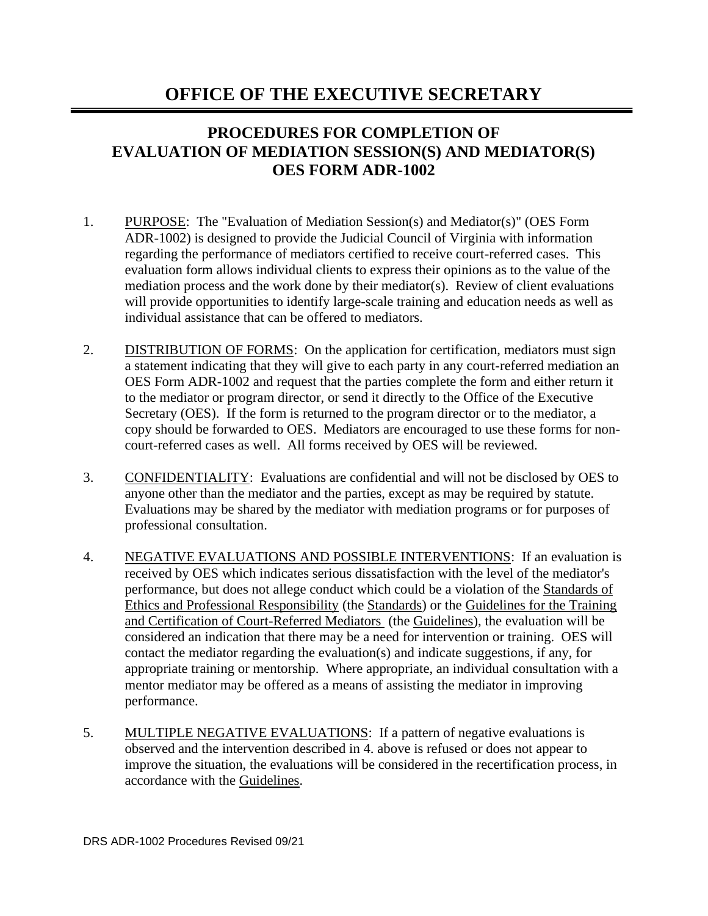## **OFFICE OF THE EXECUTIVE SECRETARY**

## **PROCEDURES FOR COMPLETION OF EVALUATION OF MEDIATION SESSION(S) AND MEDIATOR(S) OES FORM ADR-1002**

- 1. PURPOSE: The "Evaluation of Mediation Session(s) and Mediator(s)" (OES Form ADR-1002) is designed to provide the Judicial Council of Virginia with information regarding the performance of mediators certified to receive court-referred cases. This evaluation form allows individual clients to express their opinions as to the value of the mediation process and the work done by their mediator(s). Review of client evaluations will provide opportunities to identify large-scale training and education needs as well as individual assistance that can be offered to mediators.
- 2. DISTRIBUTION OF FORMS: On the application for certification, mediators must sign a statement indicating that they will give to each party in any court-referred mediation an OES Form ADR-1002 and request that the parties complete the form and either return it to the mediator or program director, or send it directly to the Office of the Executive Secretary (OES). If the form is returned to the program director or to the mediator, a copy should be forwarded to OES. Mediators are encouraged to use these forms for noncourt-referred cases as well. All forms received by OES will be reviewed.
- 3. CONFIDENTIALITY: Evaluations are confidential and will not be disclosed by OES to anyone other than the mediator and the parties, except as may be required by statute. Evaluations may be shared by the mediator with mediation programs or for purposes of professional consultation.
- 4. NEGATIVE EVALUATIONS AND POSSIBLE INTERVENTIONS: If an evaluation is received by OES which indicates serious dissatisfaction with the level of the mediator's performance, but does not allege conduct which could be a violation of the Standards of Ethics and Professional Responsibility (the Standards) or the Guidelines for the Training and Certification of Court-Referred Mediators (the Guidelines), the evaluation will be considered an indication that there may be a need for intervention or training. OES will contact the mediator regarding the evaluation(s) and indicate suggestions, if any, for appropriate training or mentorship. Where appropriate, an individual consultation with a mentor mediator may be offered as a means of assisting the mediator in improving performance.
- 5. MULTIPLE NEGATIVE EVALUATIONS: If a pattern of negative evaluations is observed and the intervention described in 4. above is refused or does not appear to improve the situation, the evaluations will be considered in the recertification process, in accordance with the Guidelines.